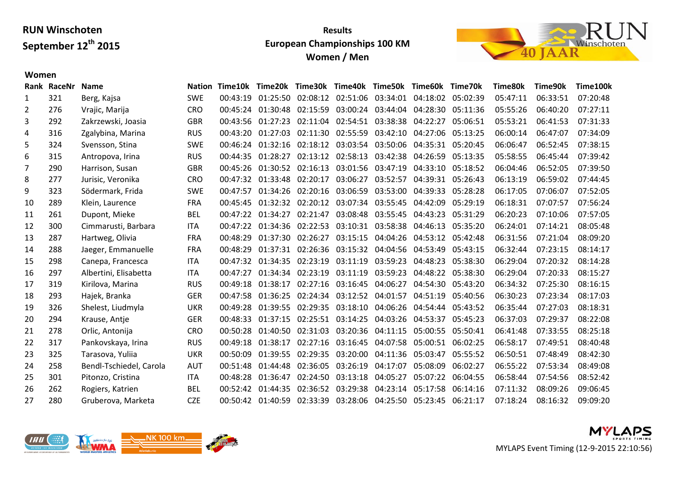## **Results European Championships 100 KM Women / Men**



#### **Women**

|     | <b>Name</b>             |             |          |          |                                                                                                                                                          |                                                                   |                                                                                                                                              |                                                                                                                                                                                                                                                                                                                                     | Time70k                                                                                                                                                                                                                                                                                                                                       | Time80k                                                                                                                                                                                                                 | Time90k  | Time100k |
|-----|-------------------------|-------------|----------|----------|----------------------------------------------------------------------------------------------------------------------------------------------------------|-------------------------------------------------------------------|----------------------------------------------------------------------------------------------------------------------------------------------|-------------------------------------------------------------------------------------------------------------------------------------------------------------------------------------------------------------------------------------------------------------------------------------------------------------------------------------|-----------------------------------------------------------------------------------------------------------------------------------------------------------------------------------------------------------------------------------------------------------------------------------------------------------------------------------------------|-------------------------------------------------------------------------------------------------------------------------------------------------------------------------------------------------------------------------|----------|----------|
| 321 | Berg, Kajsa             | <b>SWE</b>  | 00:43:19 |          |                                                                                                                                                          |                                                                   |                                                                                                                                              |                                                                                                                                                                                                                                                                                                                                     |                                                                                                                                                                                                                                                                                                                                               | 05:47:11                                                                                                                                                                                                                | 06:33:51 | 07:20:48 |
| 276 | Vrajic, Marija          | <b>CRO</b>  |          |          |                                                                                                                                                          |                                                                   |                                                                                                                                              |                                                                                                                                                                                                                                                                                                                                     | 05:11:36                                                                                                                                                                                                                                                                                                                                      | 05:55:26                                                                                                                                                                                                                | 06:40:20 | 07:27:11 |
| 292 | Zakrzewski, Joasia      | <b>GBR</b>  |          |          |                                                                                                                                                          |                                                                   |                                                                                                                                              | 04:22:27                                                                                                                                                                                                                                                                                                                            | 05:06:51                                                                                                                                                                                                                                                                                                                                      | 05:53:21                                                                                                                                                                                                                | 06:41:53 | 07:31:33 |
| 316 | Zgalybina, Marina       | <b>RUS</b>  |          |          |                                                                                                                                                          |                                                                   |                                                                                                                                              |                                                                                                                                                                                                                                                                                                                                     | 05:13:25                                                                                                                                                                                                                                                                                                                                      | 06:00:14                                                                                                                                                                                                                | 06:47:07 | 07:34:09 |
| 324 | Svensson, Stina         | <b>SWE</b>  | 00:46:24 | 01:32:16 |                                                                                                                                                          |                                                                   |                                                                                                                                              |                                                                                                                                                                                                                                                                                                                                     | 05:20:45                                                                                                                                                                                                                                                                                                                                      | 06:06:47                                                                                                                                                                                                                | 06:52:45 | 07:38:15 |
| 315 | Antropova, Irina        | <b>RUS</b>  |          | 01:28:27 |                                                                                                                                                          |                                                                   |                                                                                                                                              | 04:26:59                                                                                                                                                                                                                                                                                                                            | 05:13:35                                                                                                                                                                                                                                                                                                                                      | 05:58:55                                                                                                                                                                                                                | 06:45:44 | 07:39:42 |
| 290 | Harrison, Susan         | <b>GBR</b>  |          |          |                                                                                                                                                          |                                                                   |                                                                                                                                              |                                                                                                                                                                                                                                                                                                                                     |                                                                                                                                                                                                                                                                                                                                               | 06:04:46                                                                                                                                                                                                                | 06:52:05 | 07:39:50 |
| 277 | Jurisic, Veronika       | <b>CRO</b>  |          | 01:33:48 | 02:20:17                                                                                                                                                 | 03:06:27                                                          | 03:52:57                                                                                                                                     |                                                                                                                                                                                                                                                                                                                                     | 05:26:43                                                                                                                                                                                                                                                                                                                                      | 06:13:19                                                                                                                                                                                                                | 06:59:02 | 07:44:45 |
| 323 | Södermark, Frida        | <b>SWE</b>  | 00:47:57 | 01:34:26 |                                                                                                                                                          |                                                                   |                                                                                                                                              | 04:39:33                                                                                                                                                                                                                                                                                                                            | 05:28:28                                                                                                                                                                                                                                                                                                                                      | 06:17:05                                                                                                                                                                                                                | 07:06:07 | 07:52:05 |
| 289 | Klein, Laurence         | <b>FRA</b>  | 00:45:45 |          |                                                                                                                                                          |                                                                   |                                                                                                                                              | 04:42:09                                                                                                                                                                                                                                                                                                                            | 05:29:19                                                                                                                                                                                                                                                                                                                                      | 06:18:31                                                                                                                                                                                                                | 07:07:57 | 07:56:24 |
| 261 | Dupont, Mieke           | <b>BEL</b>  |          | 01:34:27 | 02:21:47                                                                                                                                                 |                                                                   |                                                                                                                                              | 04:43:23                                                                                                                                                                                                                                                                                                                            | 05:31:29                                                                                                                                                                                                                                                                                                                                      | 06:20:23                                                                                                                                                                                                                | 07:10:06 | 07:57:05 |
| 300 | Cimmarusti, Barbara     | ITA         |          |          |                                                                                                                                                          |                                                                   |                                                                                                                                              |                                                                                                                                                                                                                                                                                                                                     | 05:35:20                                                                                                                                                                                                                                                                                                                                      | 06:24:01                                                                                                                                                                                                                | 07:14:21 | 08:05:48 |
| 287 | Hartweg, Olivia         | <b>FRA</b>  | 00:48:29 |          |                                                                                                                                                          |                                                                   |                                                                                                                                              |                                                                                                                                                                                                                                                                                                                                     |                                                                                                                                                                                                                                                                                                                                               | 06:31:56                                                                                                                                                                                                                | 07:21:04 | 08:09:20 |
| 288 | Jaeger, Emmanuelle      | <b>FRA</b>  | 00:48:29 |          |                                                                                                                                                          |                                                                   |                                                                                                                                              |                                                                                                                                                                                                                                                                                                                                     | 05:43:15                                                                                                                                                                                                                                                                                                                                      | 06:32:44                                                                                                                                                                                                                | 07:23:15 | 08:14:17 |
| 298 | Canepa, Francesca       | <b>ITA</b>  |          |          |                                                                                                                                                          |                                                                   |                                                                                                                                              | 04:48:23                                                                                                                                                                                                                                                                                                                            | 05:38:30                                                                                                                                                                                                                                                                                                                                      | 06:29:04                                                                                                                                                                                                                | 07:20:32 | 08:14:28 |
| 297 | Albertini, Elisabetta   | <b>ITA</b>  | 00:47:27 |          |                                                                                                                                                          | 03:11:19                                                          | 03:59:23                                                                                                                                     |                                                                                                                                                                                                                                                                                                                                     | 05:38:30                                                                                                                                                                                                                                                                                                                                      | 06:29:04                                                                                                                                                                                                                | 07:20:33 | 08:15:27 |
| 319 | Kirilova, Marina        | <b>RUS</b>  | 00:49:18 | 01:38:17 |                                                                                                                                                          |                                                                   |                                                                                                                                              |                                                                                                                                                                                                                                                                                                                                     | 05:43:20                                                                                                                                                                                                                                                                                                                                      | 06:34:32                                                                                                                                                                                                                | 07:25:30 | 08:16:15 |
| 293 | Hajek, Branka           | <b>GER</b>  | 00:47:58 | 01:36:25 |                                                                                                                                                          |                                                                   |                                                                                                                                              | 04:51:19                                                                                                                                                                                                                                                                                                                            | 05:40:56                                                                                                                                                                                                                                                                                                                                      | 06:30:23                                                                                                                                                                                                                | 07:23:34 | 08:17:03 |
| 326 | Shelest, Liudmyla       | <b>UKR</b>  | 00:49:28 | 01:39:55 |                                                                                                                                                          |                                                                   |                                                                                                                                              | 04:54:44                                                                                                                                                                                                                                                                                                                            | 05:43:52                                                                                                                                                                                                                                                                                                                                      | 06:35:44                                                                                                                                                                                                                | 07:27:03 | 08:18:31 |
| 294 | Krause, Antje           | <b>GER</b>  | 00:48:33 | 01:37:15 |                                                                                                                                                          |                                                                   |                                                                                                                                              |                                                                                                                                                                                                                                                                                                                                     | 05:45:23                                                                                                                                                                                                                                                                                                                                      | 06:37:03                                                                                                                                                                                                                | 07:29:37 | 08:22:08 |
| 278 | Orlic, Antonija         | <b>CRO</b>  | 00:50:28 | 01:40:50 |                                                                                                                                                          |                                                                   |                                                                                                                                              | 05:00:55                                                                                                                                                                                                                                                                                                                            | 05:50:41                                                                                                                                                                                                                                                                                                                                      | 06:41:48                                                                                                                                                                                                                | 07:33:55 | 08:25:18 |
| 317 | Pankovskaya, Irina      | <b>RUS</b>  | 00:49:18 | 01:38:17 |                                                                                                                                                          |                                                                   |                                                                                                                                              |                                                                                                                                                                                                                                                                                                                                     | 06:02:25                                                                                                                                                                                                                                                                                                                                      | 06:58:17                                                                                                                                                                                                                | 07:49:51 | 08:40:48 |
| 325 | Tarasova, Yuliia        | <b>UKR</b>  | 00:50:09 | 01:39:55 |                                                                                                                                                          |                                                                   |                                                                                                                                              | 05:03:47                                                                                                                                                                                                                                                                                                                            | 05:55:52                                                                                                                                                                                                                                                                                                                                      | 06:50:51                                                                                                                                                                                                                | 07:48:49 | 08:42:30 |
| 258 | Bendl-Tschiedel, Carola | <b>AUT</b>  | 00:51:48 | 01:44:48 | 02:36:05                                                                                                                                                 | 03:26:19                                                          | 04:17:07                                                                                                                                     | 05:08:09                                                                                                                                                                                                                                                                                                                            | 06:02:27                                                                                                                                                                                                                                                                                                                                      | 06:55:22                                                                                                                                                                                                                | 07:53:34 | 08:49:08 |
| 301 | Pitonzo, Cristina       | <b>ITA</b>  | 00:48:28 | 01:36:47 |                                                                                                                                                          |                                                                   |                                                                                                                                              | 05:07:22                                                                                                                                                                                                                                                                                                                            | 06:04:55                                                                                                                                                                                                                                                                                                                                      | 06:58:44                                                                                                                                                                                                                | 07:54:56 | 08:52:42 |
| 262 | Rogiers, Katrien        | <b>BEL</b>  |          | 01:44:35 |                                                                                                                                                          |                                                                   |                                                                                                                                              | 05:17:58                                                                                                                                                                                                                                                                                                                            | 06:14:16                                                                                                                                                                                                                                                                                                                                      | 07:11:32                                                                                                                                                                                                                | 08:09:26 | 09:06:45 |
| 280 | Gruberova, Marketa      | <b>CZE</b>  |          |          |                                                                                                                                                          |                                                                   |                                                                                                                                              |                                                                                                                                                                                                                                                                                                                                     |                                                                                                                                                                                                                                                                                                                                               | 07:18:24                                                                                                                                                                                                                | 08:16:32 | 09:09:20 |
|     |                         | Rank RaceNr |          |          | 00:45:24 01:30:48<br>00:43:56 01:27:23<br>00:43:20 01:27:03<br>00:44:35<br>00:45:26<br>00:47:32<br>00:47:22<br>00:47:22 01:34:36<br>00:47:32<br>00:52:42 | 01:37:30<br>01:37:31<br>01:34:35<br>01:34:34<br>00:50:42 01:40:59 | 02:15:59<br>02:18:12<br>02:26:27<br>02:23:19<br>02:23:19<br>02:29:35<br>02:25:51<br>02:31:03<br>02:27:16<br>02:29:35<br>02:24:50<br>02:36:52 | 03:00:24 03:44:04<br>02:11:04 02:54:51 03:38:38<br>03:03:54 03:50:06<br>02:13:12 02:58:13 03:42:38<br>01:30:52 02:16:13 03:01:56 03:47:19<br>03:08:48 03:55:45<br>02:27:16 03:16:45 04:06:27<br>02:24:34 03:12:52 04:01:57<br>03:18:10 04:06:26<br>03:20:36 04:11:15<br>03:16:45 04:07:58<br>03:20:00 04:11:36<br>03:13:18 04:05:27 | Nation Time10k Time20k Time30k Time40k Time50k Time60k<br>02:11:30 02:55:59 03:42:10 04:27:06<br>02:20:16 03:06:59 03:53:00<br>01:32:32 02:20:12 03:07:34 03:55:45<br>02:22:53 03:10:31 03:58:38 04:46:13<br>03:15:15 04:04:26<br>02:26:36 03:15:32 04:04:56 04:53:49<br>03:11:19 03:59:23<br>03:14:25 04:03:26 04:53:37<br>03:29:38 04:23:14 | 01:25:50 02:08:12 02:51:06 03:34:01 04:18:02 05:02:39<br>04:28:30<br>04:35:31<br>04:33:10 05:18:52<br>04:39:31<br>04:53:12 05:42:48<br>04:48:22<br>04:54:30<br>05:00:51<br>02:33:39 03:28:06 04:25:50 05:23:45 06:21:17 |          |          |



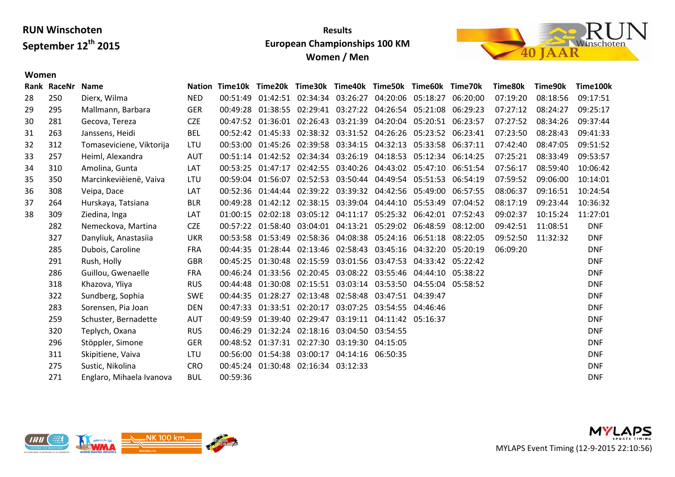## **Results European Championships 100 KM Women / Men**



#### **Women**

| Rank | RaceNr | <b>Name</b>              | <b>Nation</b> |          |                   | Time10k Time20k Time30k Time40k Time50k Time60k                      |                   |                                              |                            | Time70k  | Time80k  | Time90k  | Time100k   |
|------|--------|--------------------------|---------------|----------|-------------------|----------------------------------------------------------------------|-------------------|----------------------------------------------|----------------------------|----------|----------|----------|------------|
| 28   | 250    | Dierx, Wilma             | <b>NED</b>    | 00:51:49 | 01:42:51          |                                                                      | 02:34:34 03:26:27 | 04:20:06                                     | 05:18:27                   | 06:20:00 | 07:19:20 | 08:18:56 | 09:17:51   |
| 29   | 295    | Mallmann, Barbara        | <b>GER</b>    | 00:49:28 | 01:38:55          | 02:29:41                                                             |                   | 03:27:22 04:26:54 05:21:08                   |                            | 06:29:23 | 07:27:12 | 08:24:27 | 09:25:17   |
| 30   | 281    | Gecova, Tereza           | <b>CZE</b>    |          | 00:47:52 01:36:01 |                                                                      | 02:26:43 03:21:39 | 04:20:04                                     | 05:20:51 06:23:57          |          | 07:27:52 | 08:34:26 | 09:37:44   |
| 31   | 263    | Janssens, Heidi          | <b>BEL</b>    |          | 00:52:42 01:45:33 |                                                                      |                   | 02:38:32 03:31:52 04:26:26 05:23:52          |                            | 06:23:41 | 07:23:50 | 08:28:43 | 09:41:33   |
| 32   | 312    | Tomaseviciene, Viktorija | LTU           |          |                   | 00:53:00  01:45:26  02:39:58  03:34:15  04:32:13  05:33:58  06:37:11 |                   |                                              |                            |          | 07:42:40 | 08:47:05 | 09:51:52   |
| 33   | 257    | Heiml, Alexandra         | <b>AUT</b>    |          |                   | 00:51:14 01:42:52 02:34:34 03:26:19 04:18:53 05:12:34 06:14:25       |                   |                                              |                            |          | 07:25:21 | 08:33:49 | 09:53:57   |
| 34   | 310    | Amolina, Gunta           | LAT           |          | 00:53:25 01:47:17 |                                                                      |                   | 02:42:55 03:40:26 04:43:02 05:47:10 06:51:54 |                            |          | 07:56:17 | 08:59:40 | 10:06:42   |
| 35   | 350    | Marcinkevièienë, Vaiva   | LTU           | 00:59:04 | 01:56:07          |                                                                      |                   | 02:52:53 03:50:44 04:49:54 05:51:53          |                            | 06:54:19 | 07:59:52 | 09:06:00 | 10:14:01   |
| 36   | 308    | Veipa, Dace              | LAT           |          | 00:52:36 01:44:44 | 02:39:22                                                             |                   | 03:39:32 04:42:56 05:49:00                   |                            | 06:57:55 | 08:06:37 | 09:16:51 | 10:24:54   |
| 37   | 264    | Hurskaya, Tatsiana       | <b>BLR</b>    | 00:49:28 | 01:42:12          | 02:38:15                                                             |                   | 03:39:04 04:44:10                            | 05:53:49                   | 07:04:52 | 08:17:19 | 09:23:44 | 10:36:32   |
| 38   | 309    | Ziedina, Inga            | LAT           | 01:00:15 | 02:02:18          | 03:05:12                                                             | 04:11:17          |                                              | 05:25:32 06:42:01          | 07:52:43 | 09:02:37 | 10:15:24 | 11:27:01   |
|      | 282    | Nemeckova, Martina       | <b>CZE</b>    |          | 00:57:22 01:58:40 | 03:04:01                                                             |                   | 04:13:21 05:29:02 06:48:59                   |                            | 08:12:00 | 09:42:51 | 11:08:51 | <b>DNF</b> |
|      | 327    | Danyliuk, Anastasiia     | <b>UKR</b>    |          | 00:53:58 01:53:49 |                                                                      |                   | 02:58:36 04:08:38 05:24:16 06:51:18          |                            | 08:22:05 | 09:52:50 | 11:32:32 | <b>DNF</b> |
|      | 285    | Dubois, Caroline         | <b>FRA</b>    |          | 00:44:35 01:28:44 |                                                                      | 02:13:46 02:58:43 |                                              | 03:45:16 04:32:20 05:20:19 |          | 06:09:20 |          | <b>DNF</b> |
|      | 291    | Rush, Holly              | <b>GBR</b>    | 00:45:25 | 01:30:48          |                                                                      |                   | 02:15:59 03:01:56 03:47:53 04:33:42          |                            | 05:22:42 |          |          | <b>DNF</b> |
|      | 286    | Guillou, Gwenaelle       | <b>FRA</b>    |          |                   | 00:46:24 01:33:56 02:20:45 03:08:22 03:55:46 04:44:10 05:38:22       |                   |                                              |                            |          |          |          | <b>DNF</b> |
|      | 318    | Khazova, Yliya           | <b>RUS</b>    | 00:44:48 | 01:30:08          |                                                                      |                   | 02:15:51 03:03:14 03:53:50 04:55:04 05:58:52 |                            |          |          |          | <b>DNF</b> |
|      | 322    | Sundberg, Sophia         | <b>SWE</b>    | 00:44:35 | 01:28:27          |                                                                      |                   | 02:13:48 02:58:48 03:47:51 04:39:47          |                            |          |          |          | <b>DNF</b> |
|      | 283    | Sorensen, Pia Joan       | <b>DEN</b>    | 00:47:33 | 01:33:51          | 02:20:17                                                             | 03:07:25          | 03:54:55 04:46:46                            |                            |          |          |          | <b>DNF</b> |
|      | 259    | Schuster, Bernadette     | AUT           | 00:49:59 | 01:39:40          |                                                                      |                   | 02:29:47 03:19:11 04:11:42 05:16:37          |                            |          |          |          | <b>DNF</b> |
|      | 320    | Teplych, Oxana           | <b>RUS</b>    | 00:46:29 | 01:32:24          | 02:18:16                                                             |                   | 03:04:50 03:54:55                            |                            |          |          |          | <b>DNF</b> |
|      | 296    | Stöppler, Simone         | <b>GER</b>    |          |                   | 00:48:52 01:37:31 02:27:30                                           | 03:19:30 04:15:05 |                                              |                            |          |          |          | <b>DNF</b> |
|      | 311    | Skipitiene, Vaiva        | LTU           | 00:56:00 |                   | 01:54:38 03:00:17                                                    |                   | 04:14:16 06:50:35                            |                            |          |          |          | <b>DNF</b> |
|      | 275    | Sustic, Nikolina         | <b>CRO</b>    | 00:45:24 |                   | 01:30:48 02:16:34 03:12:33                                           |                   |                                              |                            |          |          |          | <b>DNF</b> |
|      | 271    | Englaro, Mihaela Ivanova | <b>BUL</b>    | 00:59:36 |                   |                                                                      |                   |                                              |                            |          |          |          | <b>DNF</b> |



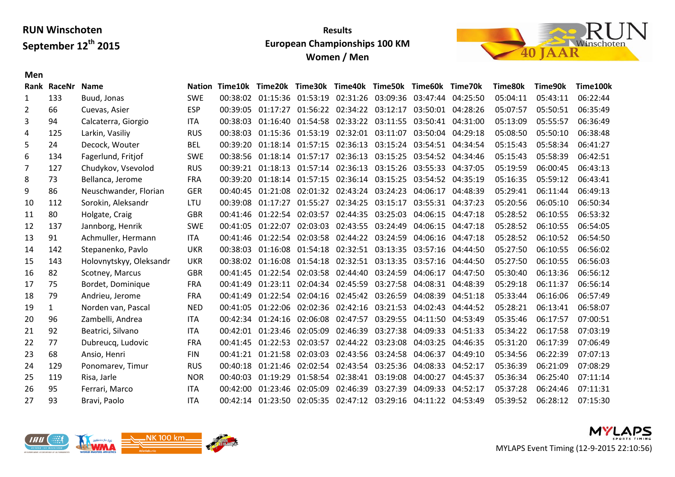## **Results European Championships 100 KM Women / Men**



|    | Rank RaceNr  | <b>Name</b>             |            |          | Nation Time10k Time20k Time30k Time40k Time50k Time60k Time70k       |          |                                     |                            |          |          | Time80k  | Time90k  | Time100k |
|----|--------------|-------------------------|------------|----------|----------------------------------------------------------------------|----------|-------------------------------------|----------------------------|----------|----------|----------|----------|----------|
| 1  | 133          | Buud, Jonas             | <b>SWE</b> |          | 00:38:02  01:15:36  01:53:19  02:31:26  03:09:36  03:47:44  04:25:50 |          |                                     |                            |          |          | 05:04:11 | 05:43:11 | 06:22:44 |
| 2  | 66           | Cuevas, Asier           | <b>ESP</b> | 00:39:05 | 01:17:27                                                             | 01:56:22 |                                     | 02:34:22 03:12:17          | 03:50:01 | 04:28:26 | 05:07:57 | 05:50:51 | 06:35:49 |
| 3  | 94           | Calcaterra, Giorgio     | ITA        | 00:38:03 | 01:16:40                                                             |          | 01:54:58 02:33:22 03:11:55          |                            | 03:50:41 | 04:31:00 | 05:13:09 | 05:55:57 | 06:36:49 |
| 4  | 125          | Larkin, Vasiliy         | <b>RUS</b> | 00:38:03 | 01:15:36                                                             |          | 01:53:19 02:32:01 03:11:07          |                            | 03:50:04 | 04:29:18 | 05:08:50 | 05:50:10 | 06:38:48 |
| 5  | 24           | Decock, Wouter          | <b>BEL</b> | 00:39:20 | 01:18:14                                                             | 01:57:15 |                                     | 02:36:13 03:15:24 03:54:51 |          | 04:34:54 | 05:15:43 | 05:58:34 | 06:41:27 |
| 6  | 134          | Fagerlund, Fritjof      | <b>SWE</b> | 00:38:56 | 01:18:14 01:57:17 02:36:13 03:15:25 03:54:52                         |          |                                     |                            |          | 04:34:46 | 05:15:43 | 05:58:39 | 06:42:51 |
| 7  | 127          | Chudykov, Vsevolod      | <b>RUS</b> | 00:39:21 | 01:18:13                                                             |          | 01:57:14 02:36:13 03:15:26 03:55:33 |                            |          | 04:37:05 | 05:19:59 | 06:00:45 | 06:43:13 |
| 8  | 73           | Bellanca, Jerome        | <b>FRA</b> | 00:39:20 | 01:18:14                                                             |          | 01:57:15 02:36:14 03:15:25 03:54:52 |                            |          | 04:35:19 | 05:16:35 | 05:59:12 | 06:43:41 |
| 9  | 86           | Neuschwander, Florian   | <b>GER</b> | 00:40:45 | 01:21:08                                                             |          | 02:01:32 02:43:24 03:24:23 04:06:17 |                            |          | 04:48:39 | 05:29:41 | 06:11:44 | 06:49:13 |
| 10 | 112          | Sorokin, Aleksandr      | LTU        | 00:39:08 | 01:17:27                                                             | 01:55:27 |                                     | 02:34:25 03:15:17          | 03:55:31 | 04:37:23 | 05:20:56 | 06:05:10 | 06:50:34 |
| 11 | 80           | Holgate, Craig          | <b>GBR</b> | 00:41:46 | 01:22:54                                                             | 02:03:57 |                                     | 02:44:35 03:25:03          | 04:06:15 | 04:47:18 | 05:28:52 | 06:10:55 | 06:53:32 |
| 12 | 137          | Jannborg, Henrik        | <b>SWE</b> | 00:41:05 | 01:22:07                                                             |          | 02:03:03 02:43:55 03:24:49          |                            | 04:06:15 | 04:47:18 | 05:28:52 | 06:10:55 | 06:54:05 |
| 13 | 91           | Achmuller, Hermann      | <b>ITA</b> | 00:41:46 | 01:22:54                                                             | 02:03:58 |                                     | 02:44:22 03:24:59          | 04:06:16 | 04:47:18 | 05:28:52 | 06:10:52 | 06:54:50 |
| 14 | 142          | Stepanenko, Pavlo       | <b>UKR</b> | 00:38:03 | 01:16:08                                                             |          | 01:54:18 02:32:51 03:13:35 03:57:16 |                            |          | 04:44:50 | 05:27:50 | 06:10:55 | 06:56:02 |
| 15 | 143          | Holovnytskyy, Oleksandr | <b>UKR</b> | 00:38:02 | 01:16:08                                                             | 01:54:18 | 02:32:51 03:13:35                   |                            | 03:57:16 | 04:44:50 | 05:27:50 | 06:10:55 | 06:56:03 |
| 16 | 82           | Scotney, Marcus         | <b>GBR</b> | 00:41:45 | 01:22:54                                                             | 02:03:58 | 02:44:40                            | 03:24:59                   | 04:06:17 | 04:47:50 | 05:30:40 | 06:13:36 | 06:56:12 |
| 17 | 75           | Bordet, Dominique       | <b>FRA</b> | 00:41:49 | 01:23:11                                                             |          | 02:04:34 02:45:59 03:27:58          |                            | 04:08:31 | 04:48:39 | 05:29:18 | 06:11:37 | 06:56:14 |
| 18 | 79           | Andrieu, Jerome         | FRA        | 00:41:49 | 01:22:54                                                             |          | 02:04:16 02:45:42 03:26:59          |                            | 04:08:39 | 04:51:18 | 05:33:44 | 06:16:06 | 06:57:49 |
| 19 | $\mathbf{1}$ | Norden van, Pascal      | <b>NED</b> | 00:41:05 | 01:22:06                                                             | 02:02:36 | 02:42:16 03:21:53                   |                            | 04:02:43 | 04:44:52 | 05:28:21 | 06:13:41 | 06:58:07 |
| 20 | 96           | Zambelli, Andrea        | <b>ITA</b> | 00:42:34 | 01:24:16                                                             | 02:06:08 |                                     | 02:47:57 03:29:55          | 04:11:50 | 04:53:49 | 05:35:46 | 06:17:57 | 07:00:51 |
| 21 | 92           | Beatrici, Silvano       | <b>ITA</b> | 00:42:01 | 01:23:46                                                             | 02:05:09 | 02:46:39                            | 03:27:38                   | 04:09:33 | 04:51:33 | 05:34:22 | 06:17:58 | 07:03:19 |
| 22 | 77           | Dubreucq, Ludovic       | <b>FRA</b> | 00:41:45 | 01:22:53                                                             | 02:03:57 |                                     | 02:44:22 03:23:08          | 04:03:25 | 04:46:35 | 05:31:20 | 06:17:39 | 07:06:49 |
| 23 | 68           | Ansio, Henri            | <b>FIN</b> | 00:41:21 | 01:21:58                                                             |          | 02:03:03 02:43:56 03:24:58 04:06:37 |                            |          | 04:49:10 | 05:34:56 | 06:22:39 | 07:07:13 |
| 24 | 129          | Ponomarev, Timur        | <b>RUS</b> | 00:40:18 | 01:21:46                                                             |          | 02:02:54 02:43:54 03:25:36          |                            | 04:08:33 | 04:52:17 | 05:36:39 | 06:21:09 | 07:08:29 |
| 25 | 119          | Risa, Jarle             | <b>NOR</b> | 00:40:03 | 01:19:29                                                             |          | 01:58:54 02:38:41 03:19:08          |                            | 04:00:27 | 04:45:37 | 05:36:34 | 06:25:40 | 07:11:14 |
| 26 | 95           | Ferrari, Marco          | <b>ITA</b> | 00:42:00 | 01:23:46                                                             | 02:05:09 | 02:46:39                            | 03:27:39                   | 04:09:33 | 04:52:17 | 05:37:28 | 06:24:46 | 07:11:31 |
| 27 | 93           | Bravi, Paolo            | <b>ITA</b> |          | 00:42:14 01:23:50 02:05:35 02:47:12 03:29:16 04:11:22                |          |                                     |                            |          | 04:53:49 | 05:39:52 | 06:28:12 | 07:15:30 |
|    |              |                         |            |          |                                                                      |          |                                     |                            |          |          |          |          |          |

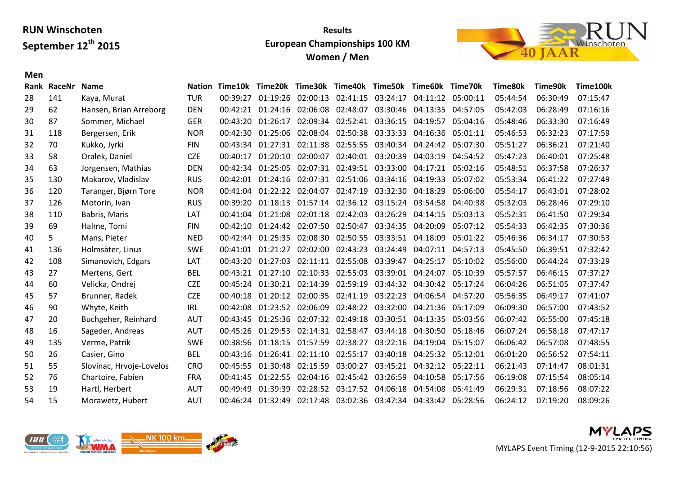## **Results European Championships 100 KM Women / Men**



|    | Rank RaceNr | <b>Name</b>              | <b>Nation</b> |          | Time10k Time20k Time30k Time40k Time50k Time60k Time70k    |          |                                              |                            |                   |          | Time80k  | Time90k  | Time100k |
|----|-------------|--------------------------|---------------|----------|------------------------------------------------------------|----------|----------------------------------------------|----------------------------|-------------------|----------|----------|----------|----------|
| 28 | 141         | Kaya, Murat              | <b>TUR</b>    | 00:39:27 | 01:19:26 02:00:13 02:41:15 03:24:17 04:11:12 05:00:11      |          |                                              |                            |                   |          | 05:44:54 | 06:30:49 | 07:15:47 |
| 29 | 62          | Hansen, Brian Arreborg   | <b>DEN</b>    | 00:42:21 | 01:24:16                                                   | 02:06:08 | 02:48:07                                     |                            | 03:30:46 04:13:35 | 04:57:05 | 05:42:03 | 06:28:49 | 07:16:16 |
| 30 | 87          | Sommer, Michael          | <b>GER</b>    | 00:43:20 | 01:26:17                                                   |          | 02:09:34 02:52:41 03:36:15                   |                            | 04:19:57          | 05:04:16 | 05:48:46 | 06:33:30 | 07:16:49 |
| 31 | 118         | Bergersen, Erik          | <b>NOR</b>    | 00:42:30 | 01:25:06                                                   |          | 02:08:04 02:50:38 03:33:33 04:16:36          |                            |                   | 05:01:11 | 05:46:53 | 06:32:23 | 07:17:59 |
| 32 | 70          | Kukko, Jyrki             | <b>FIN</b>    | 00:43:34 | 01:27:31                                                   | 02:11:38 |                                              | 02:55:55 03:40:34 04:24:42 |                   | 05:07:30 | 05:51:27 | 06:36:21 | 07:21:40 |
| 33 | 58          | Oralek, Daniel           | <b>CZE</b>    | 00:40:17 | 01:20:10                                                   | 02:00:07 |                                              | 02:40:01 03:20:39          | 04:03:19          | 04:54:52 | 05:47:23 | 06:40:01 | 07:25:48 |
| 34 | 63          | Jorgensen, Mathias       | <b>DEN</b>    |          | 00:42:34 01:25:05                                          |          | 02:07:31 02:49:51 03:33:00 04:17:21          |                            |                   | 05:02:16 | 05:48:51 | 06:37:58 | 07:26:37 |
| 35 | 130         | Makarov, Vladislav       | <b>RUS</b>    | 00:42:01 | 01:24:16                                                   | 02:07:31 |                                              | 02:51:06 03:34:16 04:19:33 |                   | 05:07:02 | 05:53:34 | 06:41:22 | 07:27:49 |
| 36 | 120         | Taranger, Bjørn Tore     | <b>NOR</b>    |          | 00:41:04  01:22:22  02:04:07  02:47:19  03:32:30  04:18:29 |          |                                              |                            |                   | 05:06:00 | 05:54:17 | 06:43:01 | 07:28:02 |
| 37 | 126         | Motorin, Ivan            | <b>RUS</b>    | 00:39:20 | 01:18:13                                                   |          | 01:57:14 02:36:12 03:15:24 03:54:58          |                            |                   | 04:40:38 | 05:32:03 | 06:28:46 | 07:29:10 |
| 38 | 110         | Babris, Maris            | LAT           | 00:41:04 | 01:21:08                                                   |          | 02:01:18 02:42:03 03:26:29                   |                            | 04:14:15          | 05:03:13 | 05:52:31 | 06:41:50 | 07:29:34 |
| 39 | 69          | Halme, Tomi              | <b>FIN</b>    |          | 00:42:10 01:24:42                                          |          | 02:07:50 02:50:47 03:34:35 04:20:09          |                            |                   | 05:07:12 | 05:54:33 | 06:42:35 | 07:30:36 |
| 40 | 5.          | Mans, Pieter             | <b>NED</b>    | 00:42:44 | 01:25:35                                                   | 02:08:30 |                                              | 02:50:55 03:33:51 04:18:09 |                   | 05:01:22 | 05:46:36 | 06:34:17 | 07:30:53 |
| 41 | 136         | Holmsäter, Linus         | <b>SWE</b>    | 00:41:01 | 01:21:27                                                   | 02:02:00 |                                              | 02:43:23 03:24:49          | 04:07:11          | 04:57:13 | 05:45:50 | 06:39:51 | 07:32:42 |
| 42 | 108         | Simanovich, Edgars       | LAT           | 00:43:20 | 01:27:03                                                   | 02:11:11 |                                              | 02:55:08 03:39:47          | 04:25:17          | 05:10:02 | 05:56:00 | 06:44:24 | 07:33:29 |
| 43 | 27          | Mertens, Gert            | <b>BEL</b>    | 00:43:21 | 01:27:10                                                   | 02:10:33 |                                              | 02:55:03 03:39:01 04:24:07 |                   | 05:10:39 | 05:57:57 | 06:46:15 | 07:37:27 |
| 44 | 60          | Velicka, Ondrej          | <b>CZE</b>    | 00:45:24 | 01:30:21                                                   |          | 02:14:39 02:59:19 03:44:32 04:30:42          |                            |                   | 05:17:24 | 06:04:26 | 06:51:05 | 07:37:47 |
| 45 | 57          | Brunner, Radek           | <b>CZE</b>    | 00:40:18 | 01:20:12                                                   | 02:00:35 |                                              | 02:41:19 03:22:23          | 04:06:54          | 04:57:20 | 05:56:35 | 06:49:17 | 07:41:07 |
| 46 | 90          | Whyte, Keith             | <b>IRL</b>    | 00:42:08 | 01:23:52                                                   | 02:06:09 |                                              | 02:48:22 03:32:00          | 04:21:36          | 05:17:09 | 06:09:30 | 06:57:00 | 07:43:52 |
| 47 | 20          | Buchgeher, Reinhard      | <b>AUT</b>    | 00:43:45 | 01:25:36                                                   |          | 02:07:32 02:49:18 03:30:51                   |                            | 04:13:35          | 05:03:56 | 06:07:42 | 06:55:00 | 07:45:18 |
| 48 | 16          | Sageder, Andreas         | AUT           | 00:45:26 | 01:29:53                                                   | 02:14:31 | 02:58:47                                     | 03:44:18                   | 04:30:50          | 05:18:46 | 06:07:24 | 06:58:18 | 07:47:17 |
| 49 | 135         | Verme, Patrik            | <b>SWE</b>    | 00:38:56 | 01:18:15                                                   | 01:57:59 | 02:38:27                                     | 03:22:16                   | 04:19:04          | 05:15:07 | 06:06:42 | 06:57:08 | 07:48:55 |
| 50 | 26          | Casier, Gino             | <b>BEL</b>    | 00:43:16 | 01:26:41                                                   | 02:11:10 |                                              | 02:55:17 03:40:18          | 04:25:32          | 05:12:01 | 06:01:20 | 06:56:52 | 07:54:11 |
| 51 | 55          | Slovinac, Hrvoje-Lovelos | <b>CRO</b>    | 00:45:55 | 01:30:48                                                   | 02:15:59 | 03:00:27                                     | 03:45:21                   | 04:32:12          | 05:22:11 | 06:21:43 | 07:14:47 | 08:01:31 |
| 52 | 76          | Chartoire, Fabien        | <b>FRA</b>    | 00:41:45 | 01:22:55                                                   | 02:04:16 |                                              | 02:45:42 03:26:59          | 04:10:58          | 05:17:56 | 06:19:08 | 07:15:54 | 08:05:14 |
| 53 | 19          | Hartl, Herbert           | <b>AUT</b>    | 00:49:49 | 01:39:39                                                   |          | 02:28:52 03:17:52 04:06:18 04:54:08          |                            |                   | 05:41:49 | 06:29:31 | 07:18:56 | 08:07:22 |
| 54 | 15          | Morawetz, Hubert         | <b>AUT</b>    |          | 00:46:24 01:32:49                                          |          | 02:17:48 03:02:36 03:47:34 04:33:42 05:28:56 |                            |                   |          | 06:24:12 | 07:19:20 | 08:09:26 |



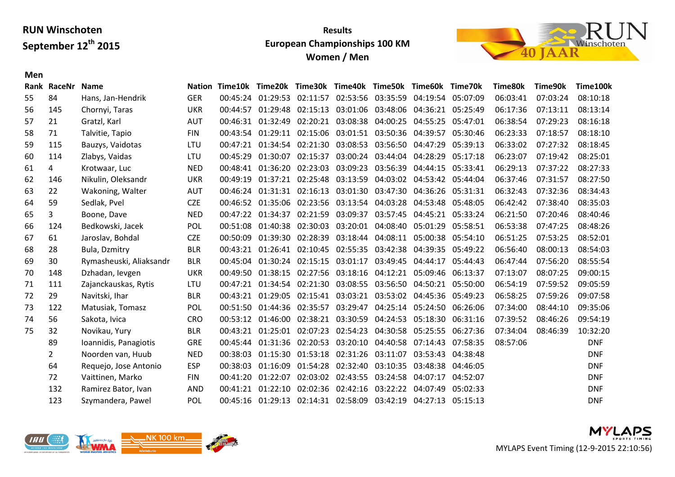### **Results European Championships 100 KM Women / Men**



|    | Rank RaceNr  | <b>Name</b>             | Nation     |          | Time10k Time20k                                                |          | Time30k Time40k Time50k                               |                            | Time60k                             | Time70k  | Time80k  | Time90k  | Time100k   |
|----|--------------|-------------------------|------------|----------|----------------------------------------------------------------|----------|-------------------------------------------------------|----------------------------|-------------------------------------|----------|----------|----------|------------|
| 55 | 84           | Hans, Jan-Hendrik       | <b>GER</b> |          | 00:45:24 01:29:53                                              |          | 02:11:57 02:53:56 03:35:59                            |                            | 04:19:54                            | 05:07:09 | 06:03:41 | 07:03:24 | 08:10:18   |
| 56 | 145          | Chornyi, Taras          | <b>UKR</b> | 00:44:57 | 01:29:48                                                       | 02:15:13 |                                                       |                            | 03:01:06 03:48:06 04:36:21          | 05:25:49 | 06:17:36 | 07:13:11 | 08:13:14   |
| 57 | 21           | Gratzl, Karl            | AUT        |          | 00:46:31 01:32:49                                              | 02:20:21 |                                                       | 03:08:38 04:00:25 04:55:25 |                                     | 05:47:01 | 06:38:54 | 07:29:23 | 08:16:18   |
| 58 | 71           | Talvitie, Tapio         | <b>FIN</b> |          | 00:43:54 01:29:11                                              | 02:15:06 |                                                       | 03:01:51 03:50:36 04:39:57 |                                     | 05:30:46 | 06:23:33 | 07:18:57 | 08:18:10   |
| 59 | 115          | Bauzys, Vaidotas        | LTU        |          | 00:47:21 01:34:54 02:21:30                                     |          |                                                       | 03:08:53 03:56:50 04:47:29 |                                     | 05:39:13 | 06:33:02 | 07:27:32 | 08:18:45   |
| 60 | 114          | Zlabys, Vaidas          | LTU        | 00:45:29 | 01:30:07                                                       | 02:15:37 |                                                       | 03:00:24 03:44:04 04:28:29 |                                     | 05:17:18 | 06:23:07 | 07:19:42 | 08:25:01   |
| 61 | 4            | Krotwaar, Luc           | <b>NED</b> | 00:48:41 | 01:36:20                                                       | 02:23:03 |                                                       | 03:09:23 03:56:39          | 04:44:15                            | 05:33:41 | 06:29:13 | 07:37:22 | 08:27:33   |
| 62 | 146          | Nikulin, Oleksandr      | <b>UKR</b> | 00:49:19 | 01:37:21                                                       | 02:25:48 |                                                       |                            | 03:13:59 04:03:02 04:53:42 05:44:04 |          | 06:37:46 | 07:31:57 | 08:27:50   |
| 63 | 22           | Wakoning, Walter        | AUT        |          | 00:46:24 01:31:31                                              | 02:16:13 |                                                       | 03:01:30 03:47:30 04:36:26 |                                     | 05:31:31 | 06:32:43 | 07:32:36 | 08:34:43   |
| 64 | 59           | Sedlak, Pvel            | <b>CZE</b> |          | 00:46:52 01:35:06                                              | 02:23:56 |                                                       | 03:13:54 04:03:28          | 04:53:48                            | 05:48:05 | 06:42:42 | 07:38:40 | 08:35:03   |
| 65 | $\mathbf{3}$ | Boone, Dave             | <b>NED</b> |          | 00:47:22 01:34:37                                              | 02:21:59 | 03:09:37                                              |                            | 03:57:45 04:45:21 05:33:24          |          | 06:21:50 | 07:20:46 | 08:40:46   |
| 66 | 124          | Bedkowski, Jacek        | POL        | 00:51:08 | 01:40:38                                                       | 02:30:03 |                                                       | 03:20:01 04:08:40 05:01:29 |                                     | 05:58:51 | 06:53:38 | 07:47:25 | 08:48:26   |
| 67 | 61           | Jaroslav, Bohdal        | <b>CZE</b> | 00:50:09 | 01:39:30                                                       | 02:28:39 |                                                       | 03:18:44 04:08:11          | 05:00:38                            | 05:54:10 | 06:51:25 | 07:53:25 | 08:52:01   |
| 68 | 28           | Bula, Dzmitry           | <b>BLR</b> |          | 00:43:21  01:26:41  02:10:45  02:55:35  03:42:38  04:39:35     |          |                                                       |                            |                                     | 05:49:22 | 06:56:40 | 08:00:13 | 08:54:03   |
| 69 | 30           | Rymasheuski, Aliaksandr | <b>BLR</b> |          | 00:45:04 01:30:24 02:15:15 03:01:17 03:49:45 04:44:17          |          |                                                       |                            |                                     | 05:44:43 | 06:47:44 | 07:56:20 | 08:55:54   |
| 70 | 148          | Dzhadan, levgen         | <b>UKR</b> | 00:49:50 | 01:38:15                                                       |          | 02:27:56 03:18:16 04:12:21 05:09:46                   |                            |                                     | 06:13:37 | 07:13:07 | 08:07:25 | 09:00:15   |
| 71 | 111          | Zajanckauskas, Rytis    | LTU        | 00:47:21 |                                                                |          | 01:34:54 02:21:30 03:08:55 03:56:50 04:50:21 05:50:00 |                            |                                     |          | 06:54:19 | 07:59:52 | 09:05:59   |
| 72 | 29           | Navitski, Ihar          | <b>BLR</b> | 00:43:21 | 01:29:05                                                       | 02:15:41 |                                                       |                            | 03:03:21 03:53:02 04:45:36          | 05:49:23 | 06:58:25 | 07:59:26 | 09:07:58   |
| 73 | 122          | Matusiak, Tomasz        | POL        | 00:51:50 | 01:44:36                                                       | 02:35:57 | 03:29:47                                              |                            | 04:25:14 05:24:50 06:26:06          |          | 07:34:00 | 08:44:10 | 09:35:06   |
| 74 | 56           | Sakota, Ivica           | <b>CRO</b> | 00:53:12 | 01:46:00                                                       | 02:38:21 |                                                       |                            | 03:30:59 04:24:53 05:18:30          | 06:31:16 | 07:39:52 | 08:46:26 | 09:54:19   |
| 75 | 32           | Novikau, Yury           | <b>BLR</b> | 00:43:21 | 01:25:01                                                       | 02:07:23 | 02:54:23                                              | 04:30:58                   | 05:25:55                            | 06:27:36 | 07:34:04 | 08:46:39 | 10:32:20   |
|    | 89           | Ioannidis, Panagiotis   | <b>GRE</b> | 00:45:44 | 01:31:36                                                       | 02:20:53 |                                                       | 03:20:10 04:40:58          | 07:14:43                            | 07:58:35 | 08:57:06 |          | <b>DNF</b> |
|    | $\mathbf{2}$ | Noorden van, Huub       | <b>NED</b> | 00:38:03 | 01:15:30                                                       | 01:53:18 | 02:31:26 03:11:07 03:53:43                            |                            |                                     | 04:38:48 |          |          | <b>DNF</b> |
|    | 64           | Requejo, Jose Antonio   | <b>ESP</b> | 00:38:03 | 01:16:09                                                       | 01:54:28 |                                                       | 02:32:40 03:10:35          | 03:48:38                            | 04:46:05 |          |          | <b>DNF</b> |
|    | 72           | Vaittinen, Marko        | <b>FIN</b> | 00:41:20 | 01:22:07                                                       | 02:03:02 |                                                       | 02:43:55 03:24:58 04:07:17 |                                     | 04:52:07 |          |          | <b>DNF</b> |
|    | 132          | Ramirez Bator, Ivan     | <b>AND</b> |          | 00:41:21 01:22:10                                              | 02:02:36 | 02:42:16 03:22:22 04:07:49                            |                            |                                     | 05:02:33 |          |          | <b>DNF</b> |
|    | 123          | Szymandera, Pawel       | POL        |          | 00:45:16 01:29:13 02:14:31 02:58:09 03:42:19 04:27:13 05:15:13 |          |                                                       |                            |                                     |          |          |          | <b>DNF</b> |